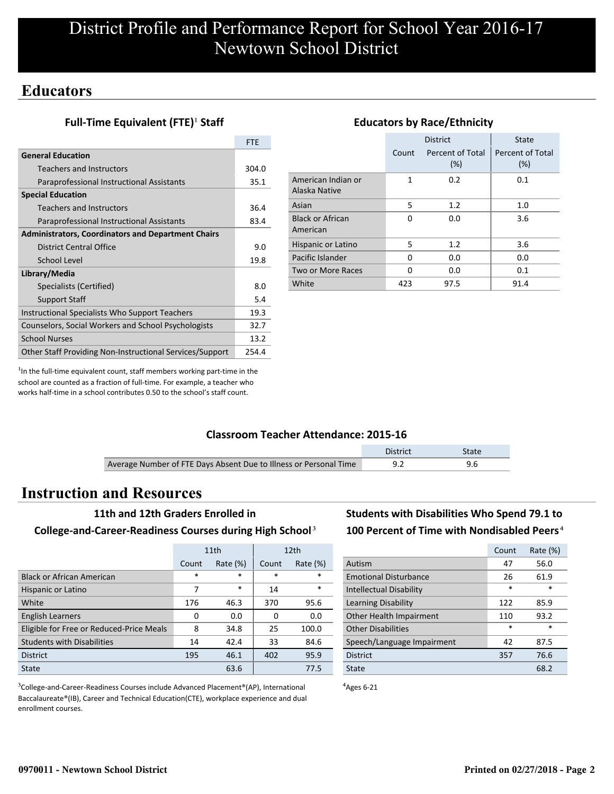## **Educators**

## **Full-Time Equivalent (FTE)<sup>1</sup> Staff**

|                                                           | <b>FTE</b> |
|-----------------------------------------------------------|------------|
| <b>General Education</b>                                  |            |
| Teachers and Instructors                                  | 304.0      |
| Paraprofessional Instructional Assistants                 | 35.1       |
| <b>Special Education</b>                                  |            |
| <b>Teachers and Instructors</b>                           | 36.4       |
| Paraprofessional Instructional Assistants                 | 83.4       |
| <b>Administrators, Coordinators and Department Chairs</b> |            |
| District Central Office                                   | 9.0        |
| School Level                                              | 19.8       |
| Library/Media                                             |            |
| Specialists (Certified)                                   | 8.0        |
| <b>Support Staff</b>                                      | 5.4        |
| Instructional Specialists Who Support Teachers            | 19.3       |
| Counselors, Social Workers and School Psychologists       | 32.7       |
| <b>School Nurses</b>                                      | 13.2       |
| Other Staff Providing Non-Instructional Services/Support  | 254.4      |

|       | <b>District</b>            | <b>State</b>               |  |  |  |
|-------|----------------------------|----------------------------|--|--|--|
| Count | Percent of Total<br>$(\%)$ | Percent of Total<br>$(\%)$ |  |  |  |
| 1     | 0.2                        | 0.1                        |  |  |  |
| 5     | 1.2                        | 1.0                        |  |  |  |
| O     | 0.0                        | 3.6                        |  |  |  |
| 5     | 1.2                        | 3.6                        |  |  |  |
| 0     | 0.0                        | 0.0                        |  |  |  |
| O     | 0.0                        | 0.1                        |  |  |  |
| 423   | 97.5                       | 91.4                       |  |  |  |
|       |                            |                            |  |  |  |

**Educators by Race/Ethnicity**

#### $<sup>1</sup>$ In the full-time equivalent count, staff members working part-time in the</sup> school are counted as a fraction of full-time. For example, a teacher who works half-time in a school contributes 0.50 to the school's staff count.

### **Classroom Teacher Attendance: 2015-16**

|                                                                   | District | State |
|-------------------------------------------------------------------|----------|-------|
| Average Number of FTE Days Absent Due to Illness or Personal Time |          |       |

## **Instruction and Resources**

#### **11th and 12th Graders Enrolled in**

#### **College-and-Career-Readiness Courses during High School**³

|                                          |        | 11th        | 12 <sub>th</sub> |             |
|------------------------------------------|--------|-------------|------------------|-------------|
|                                          | Count  | Rate $(\%)$ | Count            | Rate $(\%)$ |
| <b>Black or African American</b>         | $\ast$ | $\ast$      | $\ast$           | *           |
| Hispanic or Latino                       | 7      | $\ast$      | 14               | *           |
| White                                    | 176    | 46.3        | 370              | 95.6        |
| <b>English Learners</b>                  | 0      | 0.0         | 0                | 0.0         |
| Eligible for Free or Reduced-Price Meals | 8      | 34.8        | 25               | 100.0       |
| <b>Students with Disabilities</b>        | 14     | 42.4        | 33               | 84.6        |
| <b>District</b>                          | 195    | 46.1        | 402              | 95.9        |
| State                                    |        | 63.6        |                  | 77.5        |

<sup>3</sup>College-and-Career-Readiness Courses include Advanced Placement®(AP), International Baccalaureate®(IB), Career and Technical Education(CTE), workplace experience and dual enrollment courses.

## **Students with Disabilities Who Spend 79.1 to** 100 Percent of Time with Nondisabled Peers<sup>4</sup>

|                                | Count  | Rate (%) |
|--------------------------------|--------|----------|
| Autism                         | 47     | 56.0     |
| <b>Emotional Disturbance</b>   | 26     | 61.9     |
| <b>Intellectual Disability</b> | $\ast$ | $\star$  |
| Learning Disability            | 122    | 85.9     |
| Other Health Impairment        | 110    | 93.2     |
| <b>Other Disabilities</b>      | $\ast$ | $\ast$   |
| Speech/Language Impairment     | 42     | 87.5     |
| <b>District</b>                | 357    | 76.6     |
| State                          |        | 68.2     |

 $4$ Ages 6-21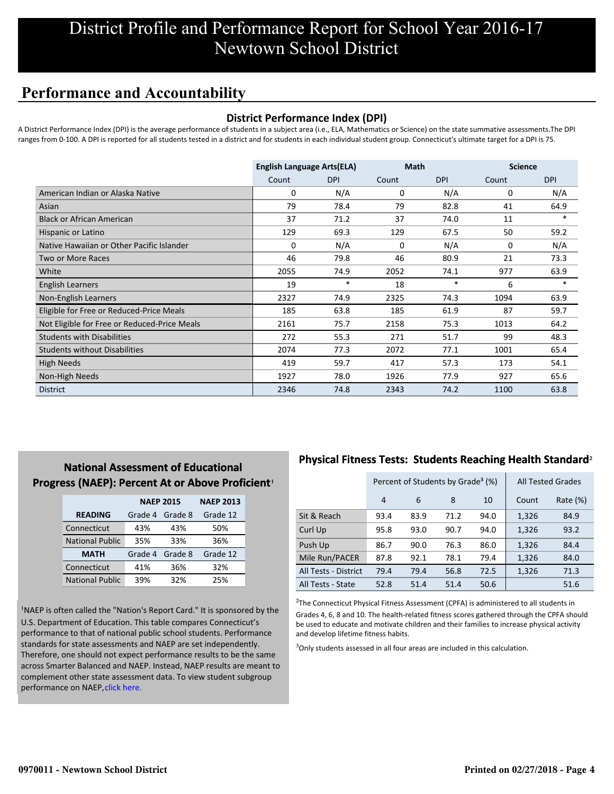# **Performance and Accountability**

### **District Performance Index (DPI)**

A District Performance Index (DPI) is the average performance of students in a subject area (i.e., ELA, Mathematics or Science) on the state summative assessments.The DPI ranges from 0-100. A DPI is reported for all students tested in a district and for students in each individual student group. Connecticut's ultimate target for a DPI is 75.

|                                              | <b>English Language Arts(ELA)</b> |            | <b>Math</b> |            | <b>Science</b> |            |
|----------------------------------------------|-----------------------------------|------------|-------------|------------|----------------|------------|
|                                              | Count                             | <b>DPI</b> | Count       | <b>DPI</b> | Count          | <b>DPI</b> |
| American Indian or Alaska Native             | 0                                 | N/A        | 0           | N/A        | 0              | N/A        |
| Asian                                        | 79                                | 78.4       | 79          | 82.8       | 41             | 64.9       |
| <b>Black or African American</b>             | 37                                | 71.2       | 37          | 74.0       | 11             | $\ast$     |
| Hispanic or Latino                           | 129                               | 69.3       | 129         | 67.5       | 50             | 59.2       |
| Native Hawaiian or Other Pacific Islander    | 0                                 | N/A        | 0           | N/A        | 0              | N/A        |
| Two or More Races                            | 46                                | 79.8       | 46          | 80.9       | 21             | 73.3       |
| White                                        | 2055                              | 74.9       | 2052        | 74.1       | 977            | 63.9       |
| <b>English Learners</b>                      | 19                                | $\ast$     | 18          | $\ast$     | 6              | $\ast$     |
| Non-English Learners                         | 2327                              | 74.9       | 2325        | 74.3       | 1094           | 63.9       |
| Eligible for Free or Reduced-Price Meals     | 185                               | 63.8       | 185         | 61.9       | 87             | 59.7       |
| Not Eligible for Free or Reduced-Price Meals | 2161                              | 75.7       | 2158        | 75.3       | 1013           | 64.2       |
| <b>Students with Disabilities</b>            | 272                               | 55.3       | 271         | 51.7       | 99             | 48.3       |
| <b>Students without Disabilities</b>         | 2074                              | 77.3       | 2072        | 77.1       | 1001           | 65.4       |
| <b>High Needs</b>                            | 419                               | 59.7       | 417         | 57.3       | 173            | 54.1       |
| Non-High Needs                               | 1927                              | 78.0       | 1926        | 77.9       | 927            | 65.6       |
| <b>District</b>                              | 2346                              | 74.8       | 2343        | 74.2       | 1100           | 63.8       |

## **National Assessment of Educational Progress (NAEP): Percent At or Above Proficient1**

|                        | <b>NAEP 2015</b>   | <b>NAEP 2013</b> |          |
|------------------------|--------------------|------------------|----------|
| <b>READING</b>         | Grade 4<br>Grade 8 |                  | Grade 12 |
| Connecticut            | 43%                | 43%              | 50%      |
| <b>National Public</b> | 35%                | 33%              | 36%      |
| <b>MATH</b>            | Grade 4            | Grade 8          | Grade 12 |
| Connecticut            | 41%                | 36%              | 32%      |
| <b>National Public</b> | 39%                | 32%              | 25%      |

<sup>1</sup>NAEP is often called the "Nation's Report Card." It is sponsored by the U.S. Department of Education. This table compares Connecticut's performance to that of national public school students. Performance standards for state assessments and NAEP are set independently. Therefore, one should not expect performance results to be the same [across Smarter Balanced and NAEP. Instead, NAEP results are meant to](http://portal.ct.gov/-/media/SDE/Student-Assessment/NAEP/ct_naep_2015_results_by_performance_level.pdf?la=en) complement other state assessment data. To view student subgroup performance on NAEP, click here.

## **Physical Fitness Tests: Students Reaching Health Standard**²

|                      |      | Percent of Students by Grade <sup>3</sup> (%) |      | <b>All Tested Grades</b> |       |          |
|----------------------|------|-----------------------------------------------|------|--------------------------|-------|----------|
|                      | 4    | 6                                             | 8    | 10                       | Count | Rate (%) |
| Sit & Reach          | 93.4 | 83.9                                          | 71.2 | 94.0                     | 1,326 | 84.9     |
| Curl Up              | 95.8 | 93.0                                          | 90.7 | 94.0                     | 1,326 | 93.2     |
| Push Up              | 86.7 | 90.0                                          | 76.3 | 86.0                     | 1,326 | 84.4     |
| Mile Run/PACER       | 87.8 | 92.1                                          | 78.1 | 79.4                     | 1,326 | 84.0     |
| All Tests - District | 79.4 | 79.4                                          | 56.8 | 72.5                     | 1,326 | 71.3     |
| All Tests - State    | 52.8 | 51.4                                          | 51.4 | 50.6                     |       | 51.6     |

 $2$ The Connecticut Physical Fitness Assessment (CPFA) is administered to all students in Grades 4, 6, 8 and 10. The health-related fitness scores gathered through the CPFA should be used to educate and motivate children and their families to increase physical activity and develop lifetime fitness habits.

<sup>3</sup>Only students assessed in all four areas are included in this calculation.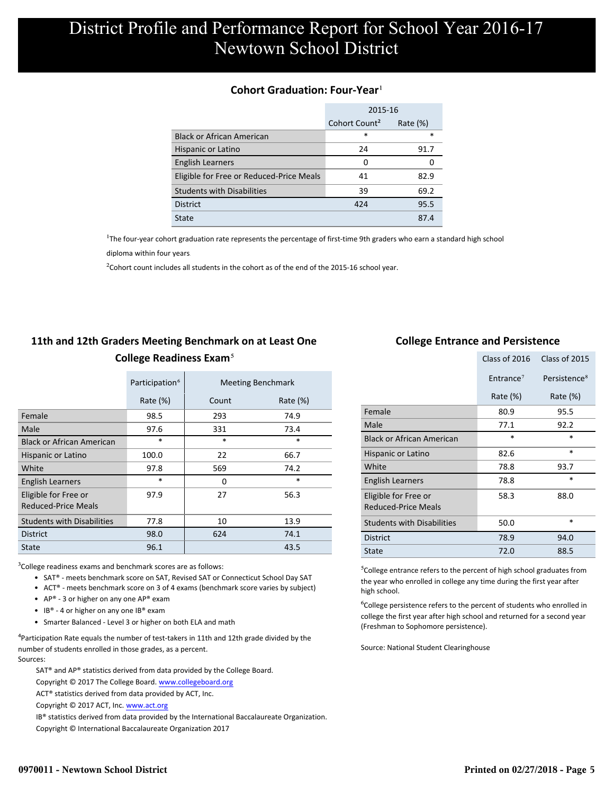### **Cohort Graduation: Four-Year**<sup>1</sup>

|                                          | 2015-16                                  |        |  |  |
|------------------------------------------|------------------------------------------|--------|--|--|
|                                          | Cohort Count <sup>2</sup><br>Rate $(\%)$ |        |  |  |
| <b>Black or African American</b>         | *                                        | $\ast$ |  |  |
| Hispanic or Latino                       | 24                                       | 91.7   |  |  |
| <b>English Learners</b>                  | 0                                        |        |  |  |
| Eligible for Free or Reduced-Price Meals | 41                                       | 82.9   |  |  |
| <b>Students with Disabilities</b>        | 39                                       | 69.2   |  |  |
| <b>District</b>                          | 424                                      | 95.5   |  |  |
| State                                    |                                          | 87.4   |  |  |

<sup>1</sup>The four-year cohort graduation rate represents the percentage of first-time 9th graders who earn a standard high school

[diploma within four years.](http://www.sde.ct.gov/sde/cwp/view.asp?a=2758&q=334898)

 $2$ Cohort count includes all students in the cohort as of the end of the 2015-16 school year.

## **11th and 12th Graders Meeting Benchmark on at Least One College Readiness Exam**⁵

|                                             | Participation <sup>6</sup> | <b>Meeting Benchmark</b> |             |
|---------------------------------------------|----------------------------|--------------------------|-------------|
|                                             | Rate $(\%)$                | Count                    | Rate $(\%)$ |
| Female                                      | 98.5                       | 293                      | 74.9        |
| Male                                        | 97.6                       | 331                      | 73.4        |
| <b>Black or African American</b>            | $\ast$                     | $\ast$                   | $\ast$      |
| Hispanic or Latino                          | 100.0                      | 22                       | 66.7        |
| White                                       | 97.8                       | 569                      | 74.2        |
| <b>English Learners</b>                     | $\ast$                     | 0                        | $\ast$      |
| Eligible for Free or<br>Reduced-Price Meals | 97.9                       | 27                       | 56.3        |
| <b>Students with Disabilities</b>           | 77.8                       | 10                       | 13.9        |
| <b>District</b>                             | 98.0                       | 624                      | 74.1        |
| State                                       | 96.1                       |                          | 43.5        |

 $3$ College readiness exams and benchmark scores are as follows:

- SAT® meets benchmark score on SAT, Revised SAT or Connecticut School Day SAT
- ACT® meets benchmark score on 3 of 4 exams (benchmark score varies by subject)
- AP® 3 or higher on any one  $AP^®$  exam
- IB® 4 or higher on any one IB® exam
- Smarter Balanced Level 3 or higher on both ELA and math

 $4$ Participation Rate equals the number of test-takers in 11th and 12th grade divided by the number of students enrolled in those grades, as a percent. Sources:

SAT® and AP® statistics derived from data provided by the College Board.

Copyright © 2017 The College Board. www.collegeboard.org

ACT® statistics derived from data provided by ACT, Inc.

Copyright © 2017 ACT, Inc. www.act.org

 IB® statistics derived from data provided by the International Baccalaureate Organization. Copyright © International Baccalaureate Organization 2017

### **College Entrance and Persistence**

|                                                    | Class of 2016<br>Class of 2015 |                          |
|----------------------------------------------------|--------------------------------|--------------------------|
|                                                    | Entrance <sup>7</sup>          | Persistence <sup>8</sup> |
|                                                    | Rate $(\%)$                    | Rate $(\%)$              |
| Female                                             | 80.9                           | 95.5                     |
| Male                                               | 77.1                           | 92.2                     |
| <b>Black or African American</b>                   | $\ast$                         | $\ast$                   |
| Hispanic or Latino                                 | 82.6                           | $\ast$                   |
| White                                              | 78.8                           | 93.7                     |
| <b>English Learners</b>                            | 78.8                           | $\ast$                   |
| Eligible for Free or<br><b>Reduced-Price Meals</b> | 58.3                           | 88.0                     |
| <b>Students with Disabilities</b>                  | 50.0                           | $\ast$                   |
| <b>District</b>                                    | 78.9                           | 94.0                     |
| State                                              | 72.0                           | 88.5                     |

⁵College entrance refers to the percent of high school graduates from the year who enrolled in college any time during the first year after high school.

⁶College persistence refers to the percent of students who enrolled in college the first year after high school and returned for a second year (Freshman to Sophomore persistence).

Source: National Student Clearinghouse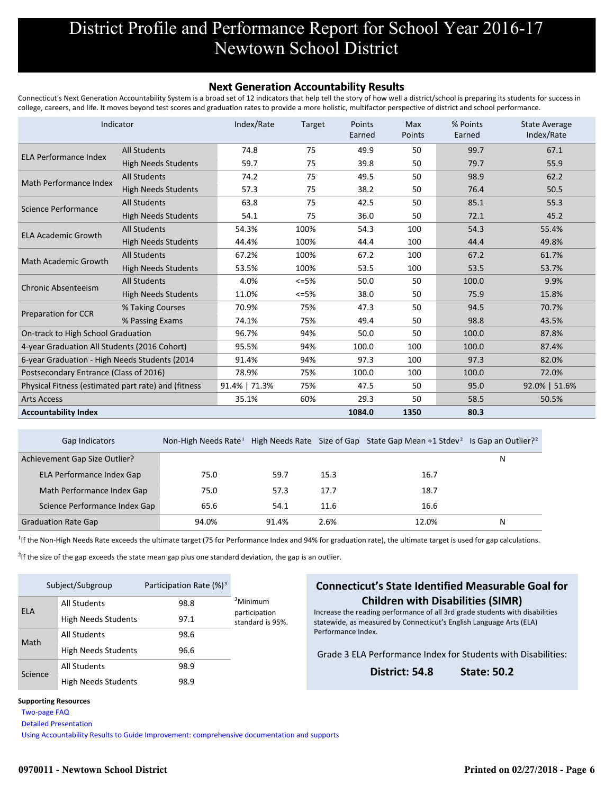#### **Next Generation Accountability Results**

Connecticut's Next Generation Accountability System is a broad set of 12 indicators that help tell the story of how well a district/school is preparing its students for success in college, careers, and life. It moves beyond test scores and graduation rates to provide a more holistic, multifactor perspective of district and school performance.

|                                                     | Indicator                  | Index/Rate    | <b>Target</b> | Points<br>Earned | Max<br>Points | % Points<br>Earned | <b>State Average</b><br>Index/Rate |
|-----------------------------------------------------|----------------------------|---------------|---------------|------------------|---------------|--------------------|------------------------------------|
| <b>ELA Performance Index</b>                        | <b>All Students</b>        | 74.8          | 75            | 49.9             | 50            | 99.7               | 67.1                               |
|                                                     | <b>High Needs Students</b> | 59.7          | 75            | 39.8             | 50            | 79.7               | 55.9                               |
|                                                     | <b>All Students</b>        | 74.2          | 75            | 49.5             | 50            | 98.9               | 62.2                               |
| Math Performance Index                              | <b>High Needs Students</b> | 57.3          | 75            | 38.2             | 50            | 76.4               | 50.5                               |
| Science Performance                                 | <b>All Students</b>        | 63.8          | 75            | 42.5             | 50            | 85.1               | 55.3                               |
|                                                     | <b>High Needs Students</b> | 54.1          | 75            | 36.0             | 50            | 72.1               | 45.2                               |
| <b>ELA Academic Growth</b>                          | <b>All Students</b>        | 54.3%         | 100%          | 54.3             | 100           | 54.3               | 55.4%                              |
|                                                     | <b>High Needs Students</b> | 44.4%         | 100%          | 44.4             | 100           | 44.4               | 49.8%                              |
| Math Academic Growth                                | <b>All Students</b>        | 67.2%         | 100%          | 67.2             | 100           | 67.2               | 61.7%                              |
|                                                     | <b>High Needs Students</b> | 53.5%         | 100%          | 53.5             | 100           | 53.5               | 53.7%                              |
| <b>Chronic Absenteeism</b>                          | <b>All Students</b>        | 4.0%          | $<=5%$        | 50.0             | 50            | 100.0              | 9.9%                               |
|                                                     | <b>High Needs Students</b> | 11.0%         | $<=5%$        | 38.0             | 50            | 75.9               | 15.8%                              |
|                                                     | % Taking Courses           | 70.9%         | 75%           | 47.3             | 50            | 94.5               | 70.7%                              |
| <b>Preparation for CCR</b>                          | % Passing Exams            | 74.1%         | 75%           | 49.4             | 50            | 98.8               | 43.5%                              |
| On-track to High School Graduation                  |                            | 96.7%         | 94%           | 50.0             | 50            | 100.0              | 87.8%                              |
| 4-year Graduation All Students (2016 Cohort)        |                            | 95.5%         | 94%           | 100.0            | 100           | 100.0              | 87.4%                              |
| 6-year Graduation - High Needs Students (2014)      |                            | 91.4%         | 94%           | 97.3             | 100           | 97.3               | 82.0%                              |
| Postsecondary Entrance (Class of 2016)              |                            | 78.9%         | 75%           | 100.0            | 100           | 100.0              | 72.0%                              |
| Physical Fitness (estimated part rate) and (fitness |                            | 91.4%   71.3% | 75%           | 47.5             | 50            | 95.0               | 92.0%   51.6%                      |
| <b>Arts Access</b>                                  |                            | 35.1%         | 60%           | 29.3             | 50            | 58.5               | 50.5%                              |
| <b>Accountability Index</b>                         |                            |               |               | 1084.0           | 1350          | 80.3               |                                    |

| <b>Gap Indicators</b>         |       |       |      | Non-High Needs Rate <sup>1</sup> High Needs Rate Size of Gap State Gap Mean +1 Stdev <sup>2</sup> Is Gap an Outlier? <sup>2</sup> |   |
|-------------------------------|-------|-------|------|-----------------------------------------------------------------------------------------------------------------------------------|---|
| Achievement Gap Size Outlier? |       |       |      |                                                                                                                                   | Ν |
| ELA Performance Index Gap     | 75.0  | 59.7  | 15.3 | 16.7                                                                                                                              |   |
| Math Performance Index Gap    | 75.0  | 57.3  | 17.7 | 18.7                                                                                                                              |   |
| Science Performance Index Gap | 65.6  | 54.1  | 11.6 | 16.6                                                                                                                              |   |
| <b>Graduation Rate Gap</b>    | 94.0% | 91.4% | 2.6% | 12.0%                                                                                                                             | N |

<sup>1</sup>If the Non-High Needs Rate exceeds the ultimate target (75 for Performance Index and 94% for graduation rate), the ultimate target is used for gap calculations.

<sup>2</sup>If the size of the gap exceeds the state mean gap plus one standard deviation, the gap is an outlier.

| Subject/Subgroup |                            | Participation Rate $(\%)^3$ |                                   |  |
|------------------|----------------------------|-----------------------------|-----------------------------------|--|
| <b>ELA</b>       | <b>All Students</b>        | 98.8                        | <sup>3</sup> Minimum              |  |
|                  | <b>High Needs Students</b> | 97.1                        | participation<br>standard is 95%. |  |
| Math             | <b>All Students</b>        | 98.6                        |                                   |  |
|                  | <b>High Needs Students</b> | 96.6                        |                                   |  |
| Science          | <b>All Students</b>        | 98.9                        |                                   |  |
|                  | <b>High Needs Students</b> | 98.9                        |                                   |  |

### **Connecticut's State Identified Measurable Goal for Children with Disabilities (SIMR)**

Increase the reading performance of all 3rd grade students with disabilities statewide, as measured by Connecticut's English Language Arts (ELA) Performance Index.

Grade 3 ELA Performance Index for Students with Disabilities:

**District: 54.8 State: 50.2**

#### **Supporting Resources**

 [Two-page FAQ](http://edsight.ct.gov/relatedreports/nextgenFAQ_revisedJan2018.pdf) 

 [Detailed Presentation](http://edsight.ct.gov/relatedreports/next_generation_accountability_system_march_2016.pdf) 

 [Using Accountability Results to Guide Improvement: comprehensive documentation and supports](http://edsight.ct.gov/relatedreports/Using_Accountability_Results_to_Guide_Improvement.pdf)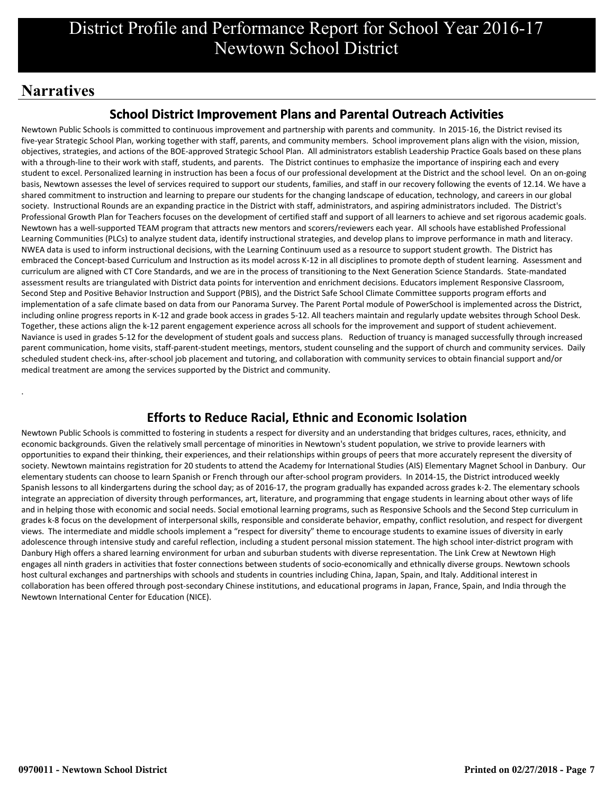# **Narratives**

.

## **School District Improvement Plans and Parental Outreach Activities**

Newtown Public Schools is committed to continuous improvement and partnership with parents and community. In 2015-16, the District revised its five-year Strategic School Plan, working together with staff, parents, and community members. School improvement plans align with the vision, mission, objectives, strategies, and actions of the BOE-approved Strategic School Plan. All administrators establish Leadership Practice Goals based on these plans with a through-line to their work with staff, students, and parents. The District continues to emphasize the importance of inspiring each and every student to excel. Personalized learning in instruction has been a focus of our professional development at the District and the school level. On an on-going basis, Newtown assesses the level of services required to support our students, families, and staff in our recovery following the events of 12.14. We have a shared commitment to instruction and learning to prepare our students for the changing landscape of education, technology, and careers in our global society. Instructional Rounds are an expanding practice in the District with staff, administrators, and aspiring administrators included. The District's Professional Growth Plan for Teachers focuses on the development of certified staff and support of all learners to achieve and set rigorous academic goals. Newtown has a well-supported TEAM program that attracts new mentors and scorers/reviewers each year. All schools have established Professional Learning Communities (PLCs) to analyze student data, identify instructional strategies, and develop plans to improve performance in math and literacy. NWEA data is used to inform instructional decisions, with the Learning Continuum used as a resource to support student growth. The District has embraced the Concept-based Curriculum and Instruction as its model across K-12 in all disciplines to promote depth of student learning. Assessment and curriculum are aligned with CT Core Standards, and we are in the process of transitioning to the Next Generation Science Standards. State-mandated assessment results are triangulated with District data points for intervention and enrichment decisions. Educators implement Responsive Classroom, Second Step and Positive Behavior Instruction and Support (PBIS), and the District Safe School Climate Committee supports program efforts and implementation of a safe climate based on data from our Panorama Survey. The Parent Portal module of PowerSchool is implemented across the District, including online progress reports in K-12 and grade book access in grades 5-12. All teachers maintain and regularly update websites through School Desk. Together, these actions align the k-12 parent engagement experience across all schools for the improvement and support of student achievement. Naviance is used in grades 5-12 for the development of student goals and success plans. Reduction of truancy is managed successfully through increased parent communication, home visits, staff-parent-student meetings, mentors, student counseling and the support of church and community services. Daily scheduled student check-ins, after-school job placement and tutoring, and collaboration with community services to obtain financial support and/or medical treatment are among the services supported by the District and community.

## **Efforts to Reduce Racial, Ethnic and Economic Isolation**

Newtown Public Schools is committed to fostering in students a respect for diversity and an understanding that bridges cultures, races, ethnicity, and economic backgrounds. Given the relatively small percentage of minorities in Newtown's student population, we strive to provide learners with opportunities to expand their thinking, their experiences, and their relationships within groups of peers that more accurately represent the diversity of society. Newtown maintains registration for 20 students to attend the Academy for International Studies (AIS) Elementary Magnet School in Danbury. Our elementary students can choose to learn Spanish or French through our after-school program providers. In 2014-15, the District introduced weekly Spanish lessons to all kindergartens during the school day; as of 2016-17, the program gradually has expanded across grades k-2. The elementary schools integrate an appreciation of diversity through performances, art, literature, and programming that engage students in learning about other ways of life and in helping those with economic and social needs. Social emotional learning programs, such as Responsive Schools and the Second Step curriculum in grades k-8 focus on the development of interpersonal skills, responsible and considerate behavior, empathy, conflict resolution, and respect for divergent views. The intermediate and middle schools implement a "respect for diversity" theme to encourage students to examine issues of diversity in early adolescence through intensive study and careful reflection, including a student personal mission statement. The high school inter-district program with Danbury High offers a shared learning environment for urban and suburban students with diverse representation. The Link Crew at Newtown High engages all ninth graders in activities that foster connections between students of socio-economically and ethnically diverse groups. Newtown schools host cultural exchanges and partnerships with schools and students in countries including China, Japan, Spain, and Italy. Additional interest in collaboration has been offered through post-secondary Chinese institutions, and educational programs in Japan, France, Spain, and India through the Newtown International Center for Education (NICE).